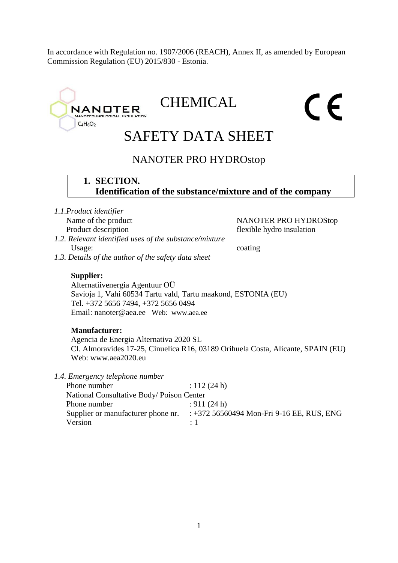In accordance with Regulation no. 1907/2006 (REACH), Annex II, as amended by European Commission Regulation (EU) 2015/830 - Estonia.

# **CHEMICAL** CE **NANOTER** TECHNOLOGICAL INS  $C_4H_6O_2$ SAFETY DATA SHEET NANOTER PRO HYDROstop **1. SECTION. Identification of the substance/mixture and of the company** *1.1.Product identifier* Name of the product NANOTER PRO HYDROStop Product description flexible hydro insulation *1.2. Relevant identified uses of the substance/mixture* Usage: coating *1.3. Details of the author of the safety data sheet* **Supplier:** Alternatiivenergia Agentuur OÜ Savioja 1, Vahi 60534 Tartu vald, Tartu maakond, ESTONIA (EU) Tel. +372 5656 7494, +372 5656 0494 Email: nanoter@aea.ee Web: www.aea.ee **Manufacturer:**  Agencia de Energia Alternativa 2020 SL Cl. Almoravides 17-25, Cinuelica R16, 03189 Orihuela Costa, Alicante, SPAIN (EU) Web: www.aea2020.eu *1.4. Emergency telephone number* Phone number : 112 (24 h) National Consultative Body/ Poison Center Phone number : 911 (24 h) Supplier or manufacturer phone nr. : +372 56560494 Mon-Fri 9-16 EE, RUS, ENG Version : 1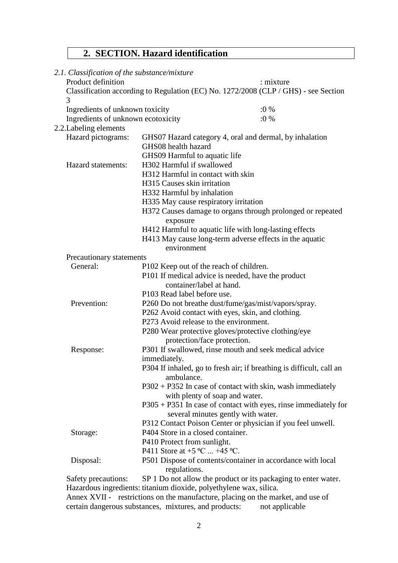# **2. SECTION. Hazard identification**

| 2.1. Classification of the substance/mixture |                                                                              |                                                                                     |  |
|----------------------------------------------|------------------------------------------------------------------------------|-------------------------------------------------------------------------------------|--|
| Product definition                           |                                                                              | : mixture                                                                           |  |
| 3                                            |                                                                              | Classification according to Regulation (EC) No. 1272/2008 (CLP / GHS) - see Section |  |
| Ingredients of unknown toxicity              |                                                                              | $:0\%$                                                                              |  |
| Ingredients of unknown ecotoxicity           |                                                                              | $:0\%$                                                                              |  |
| 2.2. Labeling elements                       |                                                                              |                                                                                     |  |
| Hazard pictograms:                           |                                                                              | GHS07 Hazard category 4, oral and dermal, by inhalation                             |  |
|                                              | GHS08 health hazard                                                          |                                                                                     |  |
|                                              | GHS09 Harmful to aquatic life                                                |                                                                                     |  |
| Hazard statements:                           | H302 Harmful if swallowed                                                    |                                                                                     |  |
|                                              | H312 Harmful in contact with skin                                            |                                                                                     |  |
|                                              | H315 Causes skin irritation                                                  |                                                                                     |  |
|                                              | H332 Harmful by inhalation                                                   |                                                                                     |  |
|                                              | H335 May cause respiratory irritation                                        |                                                                                     |  |
|                                              |                                                                              | H372 Causes damage to organs through prolonged or repeated                          |  |
|                                              | exposure                                                                     |                                                                                     |  |
|                                              | H412 Harmful to aquatic life with long-lasting effects                       |                                                                                     |  |
|                                              | H413 May cause long-term adverse effects in the aquatic                      |                                                                                     |  |
|                                              | environment                                                                  |                                                                                     |  |
| Precautionary statements                     |                                                                              |                                                                                     |  |
| General:                                     | P102 Keep out of the reach of children.                                      |                                                                                     |  |
|                                              | P101 If medical advice is needed, have the product                           |                                                                                     |  |
|                                              | container/label at hand.                                                     |                                                                                     |  |
|                                              | P103 Read label before use.                                                  |                                                                                     |  |
| Prevention:                                  | P260 Do not breathe dust/fume/gas/mist/vapors/spray.                         |                                                                                     |  |
|                                              | P262 Avoid contact with eyes, skin, and clothing.                            |                                                                                     |  |
|                                              | P273 Avoid release to the environment.                                       |                                                                                     |  |
|                                              | P280 Wear protective gloves/protective clothing/eye                          |                                                                                     |  |
|                                              | protection/face protection.                                                  |                                                                                     |  |
| Response:                                    | P301 If swallowed, rinse mouth and seek medical advice                       |                                                                                     |  |
|                                              | immediately.                                                                 |                                                                                     |  |
|                                              | ambulance.                                                                   | P304 If inhaled, go to fresh air; if breathing is difficult, call an                |  |
|                                              | with plenty of soap and water.                                               | P302 + P352 In case of contact with skin, wash immediately                          |  |
|                                              | several minutes gently with water.                                           | $P305 + P351$ In case of contact with eyes, rinse immediately for                   |  |
|                                              |                                                                              | P312 Contact Poison Center or physician if you feel unwell.                         |  |
| Storage:                                     | P404 Store in a closed container.                                            |                                                                                     |  |
|                                              | P410 Protect from sunlight.                                                  |                                                                                     |  |
|                                              | P411 Store at $+5$ °C $+45$ °C.                                              |                                                                                     |  |
| Disposal:                                    | regulations.                                                                 | P501 Dispose of contents/container in accordance with local                         |  |
| Safety precautions:                          |                                                                              | SP 1 Do not allow the product or its packaging to enter water.                      |  |
|                                              | Hazardous ingredients: titanium dioxide, polyethylene wax, silica.           |                                                                                     |  |
|                                              | Anney YVII rectrictions on the manufacture placing on the market, and use of |                                                                                     |  |

Annex XVII - restrictions on the manufacture, placing on the market, and use of certain dangerous substances, mixtures, and products: not applicable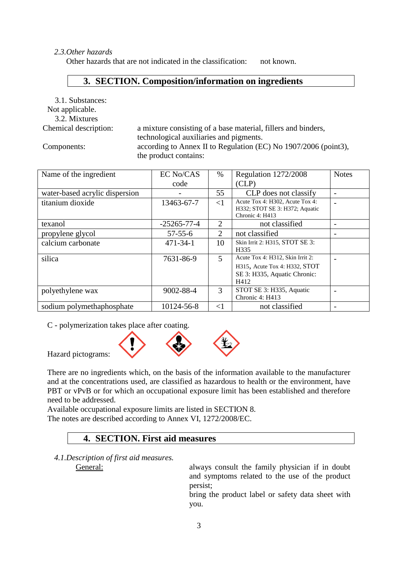#### *2.3.Other hazards*

Other hazards that are not indicated in the classification: not known.

#### **3. SECTION. Composition/information on ingredients**

3.1. Substances:

#### Not applicable.

3.2. Mixtures

Chemical description: a mixture consisting of a base material, fillers and binders, technological auxiliaries and pigments. Components: according to Annex II to Regulation (EC) No 1907/2006 (point3), the product contains:

| Name of the ingredient         | <b>EC No/CAS</b>  | $\%$     | Regulation 1272/2008             | <b>Notes</b> |
|--------------------------------|-------------------|----------|----------------------------------|--------------|
|                                |                   |          |                                  |              |
|                                | code              |          | CLP)                             |              |
| water-based acrylic dispersion |                   | 55       | CLP does not classify            |              |
| titanium dioxide               | 13463-67-7        | $\leq$ 1 | Acute Tox 4: H302, Acute Tox 4:  |              |
|                                |                   |          | H332; STOT SE 3: H372; Aquatic   |              |
|                                |                   |          | Chronic 4: H413                  |              |
| texanol                        | $-25265 - 77 - 4$ | 2        | not classified                   |              |
| propylene glycol               | $57 - 55 - 6$     | 2        | not classified                   |              |
| calcium carbonate              | $471 - 34 - 1$    | 10       | Skin Irrit 2: H315, STOT SE 3:   |              |
|                                |                   |          | H335                             |              |
| silica                         | 7631-86-9         | 5        | Acute Tox 4: H312, Skin Irrit 2: |              |
|                                |                   |          | H315, Acute Tox 4: H332, STOT    |              |
|                                |                   |          | SE 3: H335, Aquatic Chronic:     |              |
|                                |                   |          | H412                             |              |
| polyethylene wax               | 9002-88-4         | 3        | STOT SE 3: H335, Aquatic         |              |
|                                |                   |          | Chronic 4: H413                  |              |
| sodium polymethaphosphate      | 10124-56-8        | $\leq$ 1 | not classified                   |              |

C - polymerization takes place after coating.



Hazard pictograms:

There are no ingredients which, on the basis of the information available to the manufacturer and at the concentrations used, are classified as hazardous to health or the environment, have PBT or vPvB or for which an occupational exposure limit has been established and therefore need to be addressed.

Available occupational exposure limits are listed in SECTION 8. The notes are described according to Annex VI, 1272/2008/EC.

## **4. SECTION. First aid measures**

*4.1.Description of first aid measures.*

General: always consult the family physician if in doubt and symptoms related to the use of the product persist;

> bring the product label or safety data sheet with you.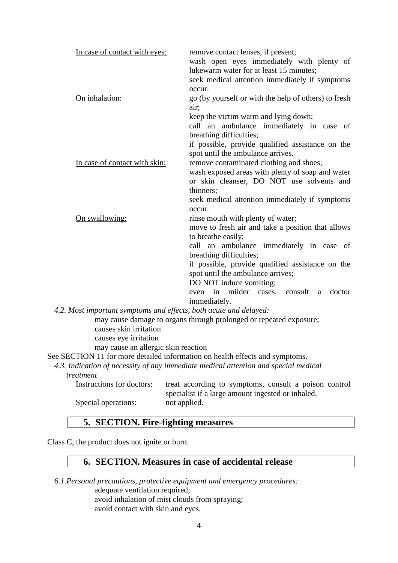| In case of contact with eyes:<br>On inhalation:                   | remove contact lenses, if present;<br>wash open eyes immediately with plenty of<br>lukewarm water for at least 15 minutes;<br>seek medical attention immediately if symptoms<br>occur.<br>go (by yourself or with the help of others) to fresh |
|-------------------------------------------------------------------|------------------------------------------------------------------------------------------------------------------------------------------------------------------------------------------------------------------------------------------------|
|                                                                   | air:<br>keep the victim warm and lying down;<br>call an ambulance immediately in case of<br>breathing difficulties;<br>if possible, provide qualified assistance on the<br>spot until the ambulance arrives.                                   |
| In case of contact with skin:                                     | remove contaminated clothing and shoes;                                                                                                                                                                                                        |
|                                                                   | wash exposed areas with plenty of soap and water<br>or skin cleanser, DO NOT use solvents and<br>thinners;<br>seek medical attention immediately if symptoms<br>occur.                                                                         |
| On swallowing:                                                    | rinse mouth with plenty of water;<br>move to fresh air and take a position that allows<br>to breathe easily;                                                                                                                                   |
|                                                                   | call an ambulance immediately in case of<br>breathing difficulties;                                                                                                                                                                            |
|                                                                   | if possible, provide qualified assistance on the                                                                                                                                                                                               |
|                                                                   | spot until the ambulance arrives;                                                                                                                                                                                                              |
|                                                                   | DO NOT induce vomiting;                                                                                                                                                                                                                        |
|                                                                   | even in milder cases, consult<br>doctor<br>a<br>immediately.                                                                                                                                                                                   |
| 4.2. Most important symptoms and effects, both acute and delayed: |                                                                                                                                                                                                                                                |
| causes skin irritation                                            | may cause damage to organs through prolonged or repeated exposure;                                                                                                                                                                             |

causes eye irritation

may cause an allergic skin reaction

See SECTION 11 for more detailed information on health effects and symptoms.

*4.3. Indication of necessity of any immediate medical attention and special medical treatment*

Instructions for doctors: treat according to symptoms, consult a poison control specialist if a large amount ingested or inhaled. Special operations: not applied.

#### **5. SECTION. Fire-fighting measures**

Class C, the product does not ignite or burn.

## **6. SECTION. Measures in case of accidental release**

*6.1.Personal precautions, protective equipment and emergency procedures:* adequate ventilation required; avoid inhalation of mist clouds from spraying; avoid contact with skin and eyes.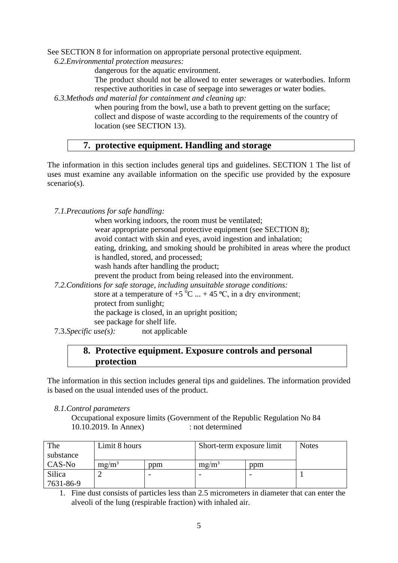See SECTION 8 for information on appropriate personal protective equipment.

*6.2.Environmental protection measures:*

dangerous for the aquatic environment.

The product should not be allowed to enter sewerages or waterbodies. Inform respective authorities in case of seepage into sewerages or water bodies.

*6.3.Methods and material for containment and cleaning up:*

when pouring from the bowl, use a bath to prevent getting on the surface; collect and dispose of waste according to the requirements of the country of location (see SECTION 13).

## **7. protective equipment. Handling and storage**

The information in this section includes general tips and guidelines. SECTION 1 The list of uses must examine any available information on the specific use provided by the exposure scenario(s).

*7.1.Precautions for safe handling:*

when working indoors, the room must be ventilated; wear appropriate personal protective equipment (see SECTION 8); avoid contact with skin and eyes, avoid ingestion and inhalation; eating, drinking, and smoking should be prohibited in areas where the product is handled, stored, and processed; wash hands after handling the product; prevent the product from being released into the environment.

*7.2.Conditions for safe storage, including unsuitable storage conditions:* store at a temperature of +5  $^{\circ}$ C ... + 45  $^{\circ}$ C, in a dry environment; protect from sunlight;

the package is closed, in an upright position;

- see package for shelf life.
- 7.3.*Specific use(s):* not applicable

## **8. Protective equipment. Exposure controls and personal protection**

The information in this section includes general tips and guidelines. The information provided is based on the usual intended uses of the product.

*8.1.Control parameters*

Occupational exposure limits (Government of the Republic Regulation No 84 10.10.2019. In Annex) : not determined

| The       | Limit 8 hours |     | Short-term exposure limit |     | <b>Notes</b> |
|-----------|---------------|-----|---------------------------|-----|--------------|
| substance |               |     |                           |     |              |
| CAS-No    | $mg/m^3$      | ppm | $mg/m^3$                  | ppm |              |
| Silica    |               |     | $\overline{\phantom{0}}$  |     |              |
| 7631-86-9 |               |     |                           |     |              |

1. Fine dust consists of particles less than 2.5 micrometers in diameter that can enter the alveoli of the lung (respirable fraction) with inhaled air.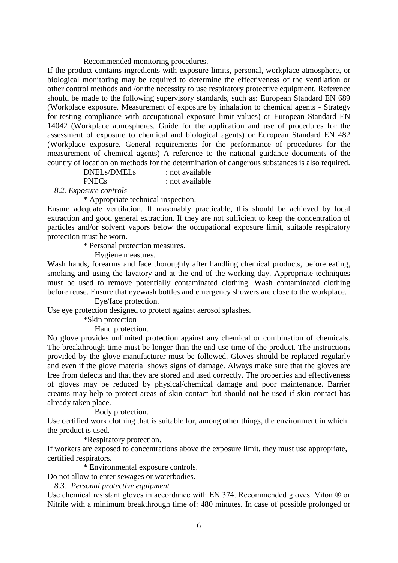#### Recommended monitoring procedures.

If the product contains ingredients with exposure limits, personal, workplace atmosphere, or biological monitoring may be required to determine the effectiveness of the ventilation or other control methods and /or the necessity to use respiratory protective equipment. Reference should be made to the following supervisory standards, such as: European Standard EN 689 (Workplace exposure. Measurement of exposure by inhalation to chemical agents - Strategy for testing compliance with occupational exposure limit values) or European Standard EN 14042 (Workplace atmospheres. Guide for the application and use of procedures for the assessment of exposure to chemical and biological agents) or European Standard EN 482 (Workplace exposure. General requirements for the performance of procedures for the measurement of chemical agents) A reference to the national guidance documents of the country of location on methods for the determination of dangerous substances is also required.

DNELs/DMELs : not available

PNECs : not available

*8.2. Exposure controls*

\* Appropriate technical inspection.

Ensure adequate ventilation. If reasonably practicable, this should be achieved by local extraction and good general extraction. If they are not sufficient to keep the concentration of particles and/or solvent vapors below the occupational exposure limit, suitable respiratory protection must be worn.

\* Personal protection measures.

Hygiene measures.

Wash hands, forearms and face thoroughly after handling chemical products, before eating, smoking and using the lavatory and at the end of the working day. Appropriate techniques must be used to remove potentially contaminated clothing. Wash contaminated clothing before reuse. Ensure that eyewash bottles and emergency showers are close to the workplace.

#### Eye/face protection.

Use eye protection designed to protect against aerosol splashes.

\*Skin protection

Hand protection.

No glove provides unlimited protection against any chemical or combination of chemicals. The breakthrough time must be longer than the end-use time of the product. The instructions provided by the glove manufacturer must be followed. Gloves should be replaced regularly and even if the glove material shows signs of damage. Always make sure that the gloves are free from defects and that they are stored and used correctly. The properties and effectiveness of gloves may be reduced by physical/chemical damage and poor maintenance. Barrier creams may help to protect areas of skin contact but should not be used if skin contact has already taken place.

Body protection.

Use certified work clothing that is suitable for, among other things, the environment in which the product is used.

\*Respiratory protection.

If workers are exposed to concentrations above the exposure limit, they must use appropriate, certified respirators.

\* Environmental exposure controls.

Do not allow to enter sewages or waterbodies.

*8.3. Personal protective equipment*

Use chemical resistant gloves in accordance with EN 374. Recommended gloves: Viton ® or Nitrile with a minimum breakthrough time of: 480 minutes. In case of possible prolonged or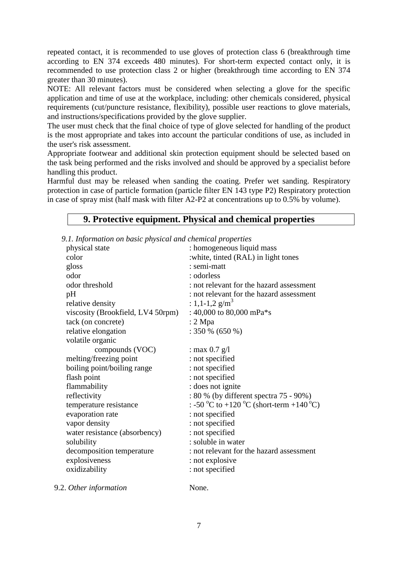repeated contact, it is recommended to use gloves of protection class 6 (breakthrough time according to EN 374 exceeds 480 minutes). For short-term expected contact only, it is recommended to use protection class 2 or higher (breakthrough time according to EN 374 greater than 30 minutes).

NOTE: All relevant factors must be considered when selecting a glove for the specific application and time of use at the workplace, including: other chemicals considered, physical requirements (cut/puncture resistance, flexibility), possible user reactions to glove materials, and instructions/specifications provided by the glove supplier.

The user must check that the final choice of type of glove selected for handling of the product is the most appropriate and takes into account the particular conditions of use, as included in the user's risk assessment.

Appropriate footwear and additional skin protection equipment should be selected based on the task being performed and the risks involved and should be approved by a specialist before handling this product.

Harmful dust may be released when sanding the coating. Prefer wet sanding. Respiratory protection in case of particle formation (particle filter EN 143 type P2) Respiratory protection in case of spray mist (half mask with filter A2-P2 at concentrations up to 0.5% by volume).

#### **9. Protective equipment. Physical and chemical properties**

| 9.1. Information on basic physical and chemical properties |  |  |
|------------------------------------------------------------|--|--|
|------------------------------------------------------------|--|--|

| physical state                    | : homogeneous liquid mass                |
|-----------------------------------|------------------------------------------|
| color                             | : white, tinted (RAL) in light tones     |
| gloss                             | : semi-matt                              |
| odor                              | : odorless                               |
| odor threshold                    | : not relevant for the hazard assessment |
| pH                                | : not relevant for the hazard assessment |
| relative density                  | : 1,1-1,2 $g/m^3$                        |
| viscosity (Brookfield, LV4 50rpm) | : 40,000 to 80,000 mPa*s                 |
| tack (on concrete)                | $: 2 \text{ Mpa}$                        |
| relative elongation               | $: 350\% (650\%)$                        |
| volatile organic                  |                                          |
| compounds (VOC)                   | : max $0.7$ g/l                          |
| melting/freezing point            | : not specified                          |
| boiling point/boiling range       | : not specified                          |
| flash point                       | : not specified                          |
| flammability                      | : does not ignite                        |
| reflectivity                      | : 80 % (by different spectra 75 - 90%)   |
| temperature resistance            | : -50 °C to +120 °C (short-term +140 °C) |
| evaporation rate                  | : not specified                          |
| vapor density                     | : not specified                          |
| water resistance (absorbency)     | : not specified                          |
| solubility                        | : soluble in water                       |
| decomposition temperature         | : not relevant for the hazard assessment |
| explosiveness                     | : not explosive                          |
| oxidizability                     | : not specified                          |
|                                   |                                          |

9.2. *Other information* None.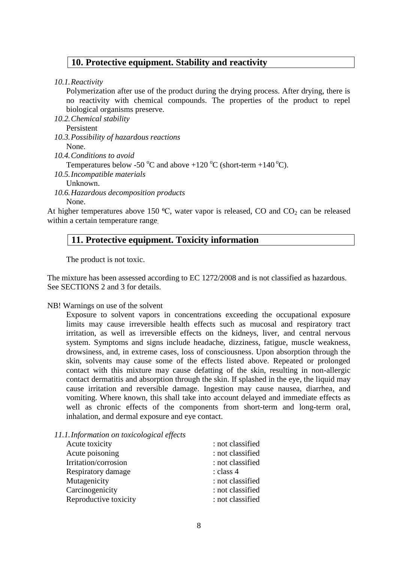#### **10. Protective equipment. Stability and reactivity**

*10.1.Reactivity*

Polymerization after use of the product during the drying process. After drying, there is no reactivity with chemical compounds. The properties of the product to repel biological organisms preserve.

*10.2.Chemical stability*

Persistent

*10.3.Possibility of hazardous reactions*

None.

*10.4.Conditions to avoid*

Temperatures below -50 °C and above +120 °C (short-term +140 °C).

*10.5.Incompatible materials*

Unknown.

*10.6.Hazardous decomposition products* None.

At higher temperatures above 150  $^{\circ}$ C, water vapor is released, CO and CO<sub>2</sub> can be released within a certain temperature range.

## **11. Protective equipment. Toxicity information**

The product is not toxic.

The mixture has been assessed according to EC 1272/2008 and is not classified as hazardous. See SECTIONS 2 and 3 for details.

#### NB! Warnings on use of the solvent

Exposure to solvent vapors in concentrations exceeding the occupational exposure limits may cause irreversible health effects such as mucosal and respiratory tract irritation, as well as irreversible effects on the kidneys, liver, and central nervous system. Symptoms and signs include headache, dizziness, fatigue, muscle weakness, drowsiness, and, in extreme cases, loss of consciousness. Upon absorption through the skin, solvents may cause some of the effects listed above. Repeated or prolonged contact with this mixture may cause defatting of the skin, resulting in non-allergic contact dermatitis and absorption through the skin. If splashed in the eye, the liquid may cause irritation and reversible damage. Ingestion may cause nausea, diarrhea, and vomiting. Where known, this shall take into account delayed and immediate effects as well as chronic effects of the components from short-term and long-term oral, inhalation, and dermal exposure and eye contact.

#### *11.1.Information on toxicological effects*

| Acute toxicity        | : not classified |
|-----------------------|------------------|
| Acute poisoning       | : not classified |
| Irritation/corrosion  | : not classified |
| Respiratory damage    | : class 4        |
| Mutagenicity          | : not classified |
| Carcinogenicity       | : not classified |
| Reproductive toxicity | : not classified |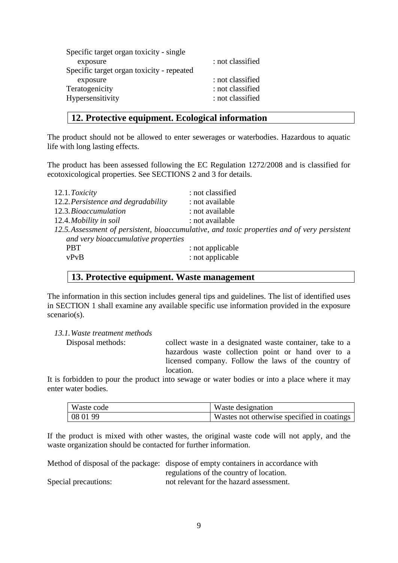| Specific target organ toxicity - single   |                  |
|-------------------------------------------|------------------|
| exposure                                  | : not classified |
| Specific target organ toxicity - repeated |                  |
| exposure                                  | : not classified |
| Teratogenicity                            | : not classified |
| Hypersensitivity                          | : not classified |

#### **12. Protective equipment. Ecological information**

The product should not be allowed to enter sewerages or waterbodies. Hazardous to aquatic life with long lasting effects.

The product has been assessed following the EC Regulation 1272/2008 and is classified for ecotoxicological properties. See SECTIONS 2 and 3 for details.

| 12.1. Toxicity                      | : not classified                                                                             |
|-------------------------------------|----------------------------------------------------------------------------------------------|
| 12.2. Persistence and degradability | : not available                                                                              |
| 12.3. Bioaccumulation               | : not available                                                                              |
| 12.4. Mobility in soil              | : not available                                                                              |
|                                     | 12.5. Assessment of persistent, bioaccumulative, and toxic properties and of very persistent |
| and very bioaccumulative properties |                                                                                              |
| <b>PBT</b>                          | : not applicable                                                                             |
| vPvB                                | : not applicable                                                                             |

#### **13. Protective equipment. Waste management**

The information in this section includes general tips and guidelines. The list of identified uses in SECTION 1 shall examine any available specific use information provided in the exposure scenario(s).

*13.1.Waste treatment methods*

Disposal methods: collect waste in a designated waste container, take to a hazardous waste collection point or hand over to a licensed company. Follow the laws of the country of location.

It is forbidden to pour the product into sewage or water bodies or into a place where it may enter water bodies.

| Waste code | Waste designation                          |
|------------|--------------------------------------------|
| 08 01 99   | Wastes not otherwise specified in coatings |

If the product is mixed with other wastes, the original waste code will not apply, and the waste organization should be contacted for further information.

|                      | Method of disposal of the package: dispose of empty containers in accordance with |
|----------------------|-----------------------------------------------------------------------------------|
|                      | regulations of the country of location.                                           |
| Special precautions: | not relevant for the hazard assessment.                                           |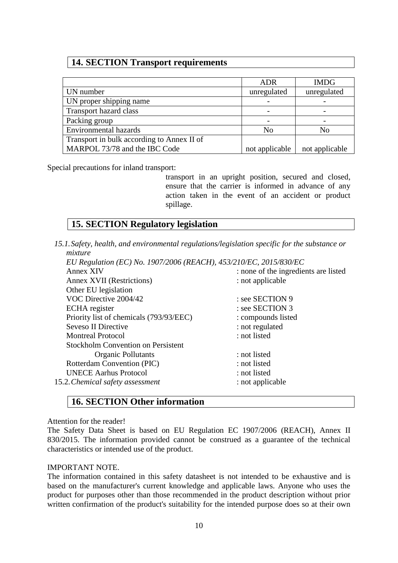### **14. SECTION Transport requirements**

|                                            | ADR            | <b>IMDG</b>    |
|--------------------------------------------|----------------|----------------|
| UN number                                  | unregulated    | unregulated    |
| UN proper shipping name                    |                |                |
| Transport hazard class                     |                |                |
| Packing group                              |                |                |
| <b>Environmental hazards</b>               | N <sub>o</sub> | No             |
| Transport in bulk according to Annex II of |                |                |
| MARPOL 73/78 and the IBC Code              | not applicable | not applicable |

Special precautions for inland transport:

transport in an upright position, secured and closed, ensure that the carrier is informed in advance of any action taken in the event of an accident or product spillage.

## **15. SECTION Regulatory legislation**

*15.1.Safety, health, and environmental regulations/legislation specific for the substance or mixture*

*EU Regulation (EC) No. 1907/2006 (REACH), 453/210/EC, 2015/830/EC* Annex XIV : none of the ingredients are listed Annex XVII (Restrictions) : not applicable Other EU legislation VOC Directive 2004/42 : see SECTION 9 ECHA register : see SECTION 3 Priority list of chemicals (793/93/EEC) : compounds listed Seveso II Directive : not regulated Montreal Protocol : not listed Stockholm Convention on Persistent Organic Pollutants : not listed Rotterdam Convention (PIC) : not listed UNECE Aarhus Protocol : not listed 15.2.*Chemical safety assessment* : not applicable

#### **16. SECTION Other information**

Attention for the reader!

The Safety Data Sheet is based on EU Regulation EC 1907/2006 (REACH), Annex II 830/2015. The information provided cannot be construed as a guarantee of the technical characteristics or intended use of the product.

#### IMPORTANT NOTE.

The information contained in this safety datasheet is not intended to be exhaustive and is based on the manufacturer's current knowledge and applicable laws. Anyone who uses the product for purposes other than those recommended in the product description without prior written confirmation of the product's suitability for the intended purpose does so at their own